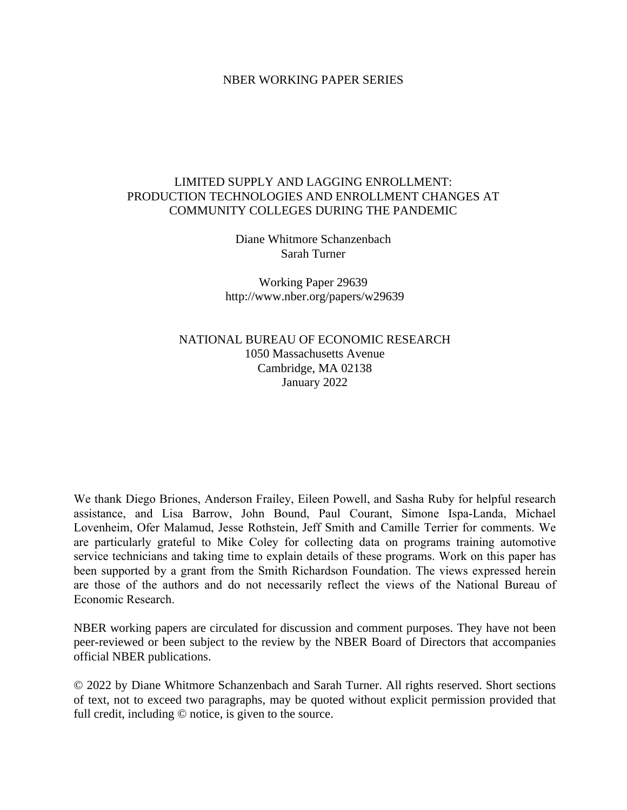### NBER WORKING PAPER SERIES

# LIMITED SUPPLY AND LAGGING ENROLLMENT: PRODUCTION TECHNOLOGIES AND ENROLLMENT CHANGES AT COMMUNITY COLLEGES DURING THE PANDEMIC

Diane Whitmore Schanzenbach Sarah Turner

Working Paper 29639 http://www.nber.org/papers/w29639

NATIONAL BUREAU OF ECONOMIC RESEARCH 1050 Massachusetts Avenue Cambridge, MA 02138 January 2022

We thank Diego Briones, Anderson Frailey, Eileen Powell, and Sasha Ruby for helpful research assistance, and Lisa Barrow, John Bound, Paul Courant, Simone Ispa-Landa, Michael Lovenheim, Ofer Malamud, Jesse Rothstein, Jeff Smith and Camille Terrier for comments. We are particularly grateful to Mike Coley for collecting data on programs training automotive service technicians and taking time to explain details of these programs. Work on this paper has been supported by a grant from the Smith Richardson Foundation. The views expressed herein are those of the authors and do not necessarily reflect the views of the National Bureau of Economic Research.

NBER working papers are circulated for discussion and comment purposes. They have not been peer-reviewed or been subject to the review by the NBER Board of Directors that accompanies official NBER publications.

© 2022 by Diane Whitmore Schanzenbach and Sarah Turner. All rights reserved. Short sections of text, not to exceed two paragraphs, may be quoted without explicit permission provided that full credit, including © notice, is given to the source.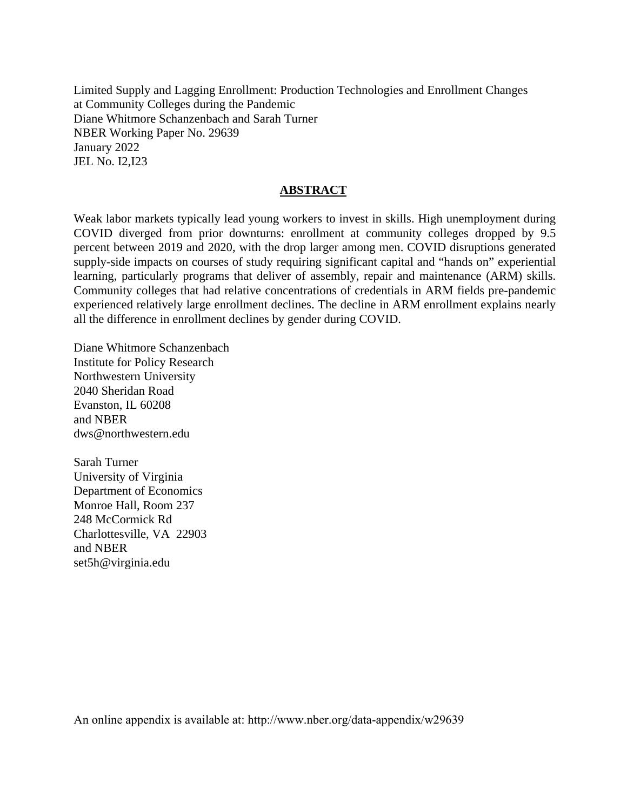Limited Supply and Lagging Enrollment: Production Technologies and Enrollment Changes at Community Colleges during the Pandemic Diane Whitmore Schanzenbach and Sarah Turner NBER Working Paper No. 29639 January 2022 JEL No. I2,I23

## **ABSTRACT**

Weak labor markets typically lead young workers to invest in skills. High unemployment during COVID diverged from prior downturns: enrollment at community colleges dropped by 9.5 percent between 2019 and 2020, with the drop larger among men. COVID disruptions generated supply-side impacts on courses of study requiring significant capital and "hands on" experiential learning, particularly programs that deliver of assembly, repair and maintenance (ARM) skills. Community colleges that had relative concentrations of credentials in ARM fields pre-pandemic experienced relatively large enrollment declines. The decline in ARM enrollment explains nearly all the difference in enrollment declines by gender during COVID.

Diane Whitmore Schanzenbach Institute for Policy Research Northwestern University 2040 Sheridan Road Evanston, IL 60208 and NBER dws@northwestern.edu

Sarah Turner University of Virginia Department of Economics Monroe Hall, Room 237 248 McCormick Rd Charlottesville, VA 22903 and NBER set5h@virginia.edu

An online appendix is available at: http://www.nber.org/data-appendix/w29639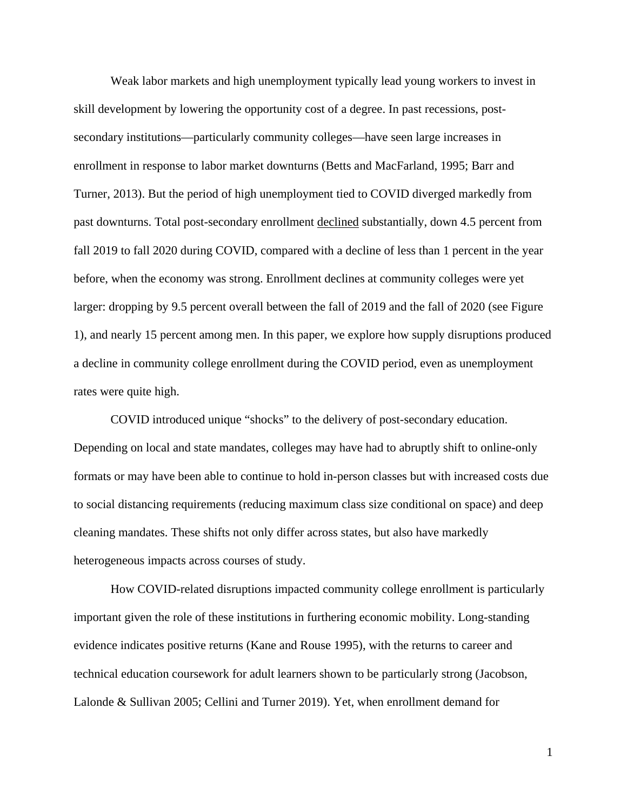Weak labor markets and high unemployment typically lead young workers to invest in skill development by lowering the opportunity cost of a degree. In past recessions, postsecondary institutions—particularly community colleges—have seen large increases in enrollment in response to labor market downturns (Betts and MacFarland, 1995; Barr and Turner, 2013). But the period of high unemployment tied to COVID diverged markedly from past downturns. Total post-secondary enrollment declined substantially, down 4.5 percent from fall 2019 to fall 2020 during COVID, compared with a decline of less than 1 percent in the year before, when the economy was strong. Enrollment declines at community colleges were yet larger: dropping by 9.5 percent overall between the fall of 2019 and the fall of 2020 (see Figure 1), and nearly 15 percent among men. In this paper, we explore how supply disruptions produced a decline in community college enrollment during the COVID period, even as unemployment rates were quite high.

COVID introduced unique "shocks" to the delivery of post-secondary education. Depending on local and state mandates, colleges may have had to abruptly shift to online-only formats or may have been able to continue to hold in-person classes but with increased costs due to social distancing requirements (reducing maximum class size conditional on space) and deep cleaning mandates. These shifts not only differ across states, but also have markedly heterogeneous impacts across courses of study.

How COVID-related disruptions impacted community college enrollment is particularly important given the role of these institutions in furthering economic mobility. Long-standing evidence indicates positive returns (Kane and Rouse 1995), with the returns to career and technical education coursework for adult learners shown to be particularly strong (Jacobson, Lalonde & Sullivan 2005; Cellini and Turner 2019). Yet, when enrollment demand for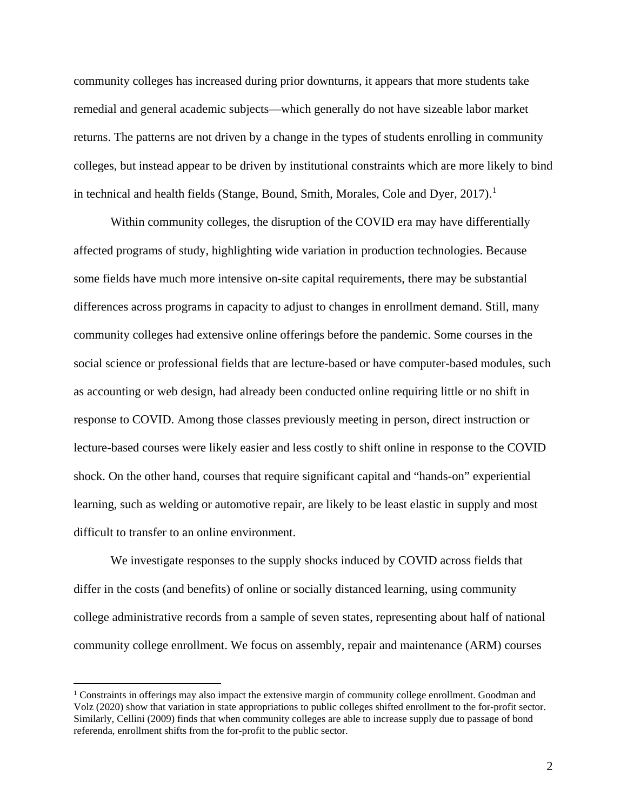community colleges has increased during prior downturns, it appears that more students take remedial and general academic subjects—which generally do not have sizeable labor market returns. The patterns are not driven by a change in the types of students enrolling in community colleges, but instead appear to be driven by institutional constraints which are more likely to bind in technical and health fields (Stange, Bound, Smith, Morales, Cole and Dyer,  $2017$  $2017$  $2017$ ).<sup>1</sup>

 Within community colleges, the disruption of the COVID era may have differentially affected programs of study, highlighting wide variation in production technologies. Because some fields have much more intensive on-site capital requirements, there may be substantial differences across programs in capacity to adjust to changes in enrollment demand. Still, many community colleges had extensive online offerings before the pandemic. Some courses in the social science or professional fields that are lecture-based or have computer-based modules, such as accounting or web design, had already been conducted online requiring little or no shift in response to COVID. Among those classes previously meeting in person, direct instruction or lecture-based courses were likely easier and less costly to shift online in response to the COVID shock. On the other hand, courses that require significant capital and "hands-on" experiential learning, such as welding or automotive repair, are likely to be least elastic in supply and most difficult to transfer to an online environment.

We investigate responses to the supply shocks induced by COVID across fields that differ in the costs (and benefits) of online or socially distanced learning, using community college administrative records from a sample of seven states, representing about half of national community college enrollment. We focus on assembly, repair and maintenance (ARM) courses

<span id="page-3-0"></span> $1$  Constraints in offerings may also impact the extensive margin of community college enrollment. Goodman and Volz (2020) show that variation in state appropriations to public colleges shifted enrollment to the for-profit sector. Similarly, Cellini (2009) finds that when community colleges are able to increase supply due to passage of bond referenda, enrollment shifts from the for-profit to the public sector.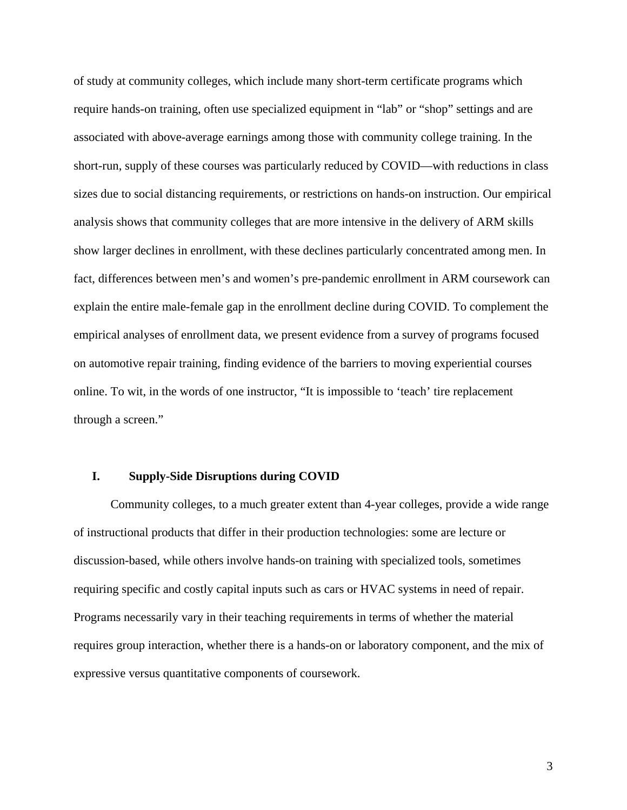of study at community colleges, which include many short-term certificate programs which require hands-on training, often use specialized equipment in "lab" or "shop" settings and are associated with above-average earnings among those with community college training. In the short-run, supply of these courses was particularly reduced by COVID—with reductions in class sizes due to social distancing requirements, or restrictions on hands-on instruction. Our empirical analysis shows that community colleges that are more intensive in the delivery of ARM skills show larger declines in enrollment, with these declines particularly concentrated among men. In fact, differences between men's and women's pre-pandemic enrollment in ARM coursework can explain the entire male-female gap in the enrollment decline during COVID. To complement the empirical analyses of enrollment data, we present evidence from a survey of programs focused on automotive repair training, finding evidence of the barriers to moving experiential courses online. To wit, in the words of one instructor, "It is impossible to 'teach' tire replacement through a screen."

## **I. Supply-Side Disruptions during COVID**

Community colleges, to a much greater extent than 4-year colleges, provide a wide range of instructional products that differ in their production technologies: some are lecture or discussion-based, while others involve hands-on training with specialized tools, sometimes requiring specific and costly capital inputs such as cars or HVAC systems in need of repair. Programs necessarily vary in their teaching requirements in terms of whether the material requires group interaction, whether there is a hands-on or laboratory component, and the mix of expressive versus quantitative components of coursework.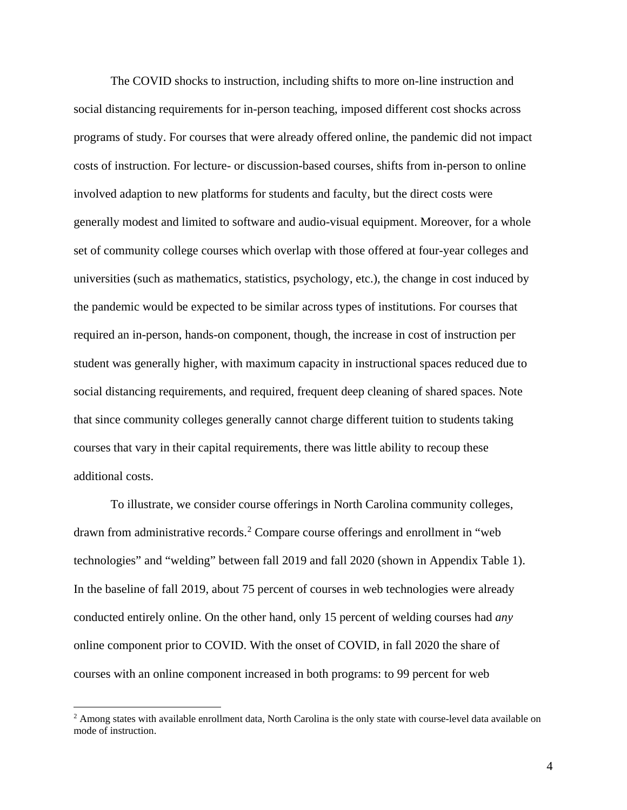The COVID shocks to instruction, including shifts to more on-line instruction and social distancing requirements for in-person teaching, imposed different cost shocks across programs of study. For courses that were already offered online, the pandemic did not impact costs of instruction. For lecture- or discussion-based courses, shifts from in-person to online involved adaption to new platforms for students and faculty, but the direct costs were generally modest and limited to software and audio-visual equipment. Moreover, for a whole set of community college courses which overlap with those offered at four-year colleges and universities (such as mathematics, statistics, psychology, etc.), the change in cost induced by the pandemic would be expected to be similar across types of institutions. For courses that required an in-person, hands-on component, though, the increase in cost of instruction per student was generally higher, with maximum capacity in instructional spaces reduced due to social distancing requirements, and required, frequent deep cleaning of shared spaces. Note that since community colleges generally cannot charge different tuition to students taking courses that vary in their capital requirements, there was little ability to recoup these additional costs.

To illustrate, we consider course offerings in North Carolina community colleges, drawn from administrative records.<sup>[2](#page-5-0)</sup> Compare course offerings and enrollment in "web technologies" and "welding" between fall 2019 and fall 2020 (shown in Appendix Table 1). In the baseline of fall 2019, about 75 percent of courses in web technologies were already conducted entirely online. On the other hand, only 15 percent of welding courses had *any* online component prior to COVID. With the onset of COVID, in fall 2020 the share of courses with an online component increased in both programs: to 99 percent for web

<span id="page-5-0"></span> $2$  Among states with available enrollment data, North Carolina is the only state with course-level data available on mode of instruction.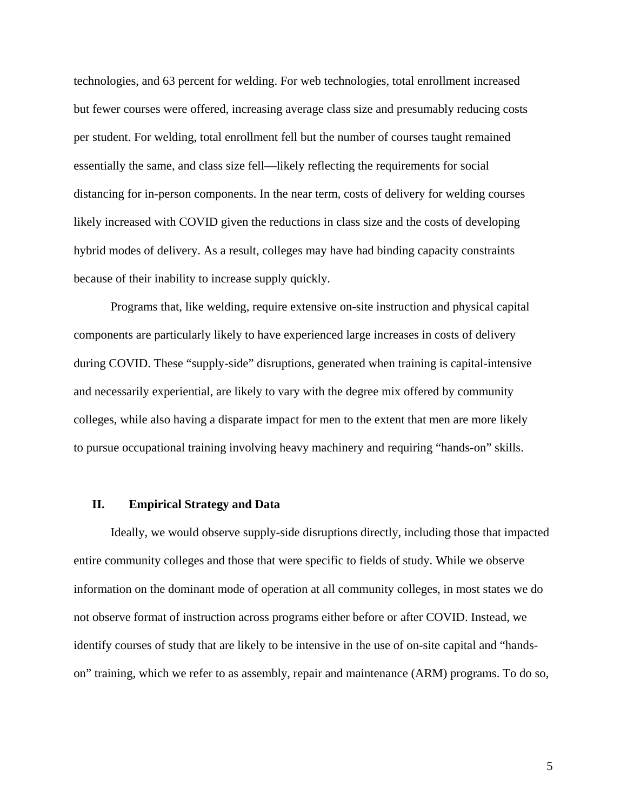technologies, and 63 percent for welding. For web technologies, total enrollment increased but fewer courses were offered, increasing average class size and presumably reducing costs per student. For welding, total enrollment fell but the number of courses taught remained essentially the same, and class size fell—likely reflecting the requirements for social distancing for in-person components. In the near term, costs of delivery for welding courses likely increased with COVID given the reductions in class size and the costs of developing hybrid modes of delivery. As a result, colleges may have had binding capacity constraints because of their inability to increase supply quickly.

Programs that, like welding, require extensive on-site instruction and physical capital components are particularly likely to have experienced large increases in costs of delivery during COVID. These "supply-side" disruptions, generated when training is capital-intensive and necessarily experiential, are likely to vary with the degree mix offered by community colleges, while also having a disparate impact for men to the extent that men are more likely to pursue occupational training involving heavy machinery and requiring "hands-on" skills.

## **II. Empirical Strategy and Data**

 Ideally, we would observe supply-side disruptions directly, including those that impacted entire community colleges and those that were specific to fields of study. While we observe information on the dominant mode of operation at all community colleges, in most states we do not observe format of instruction across programs either before or after COVID. Instead, we identify courses of study that are likely to be intensive in the use of on-site capital and "handson" training, which we refer to as assembly, repair and maintenance (ARM) programs. To do so,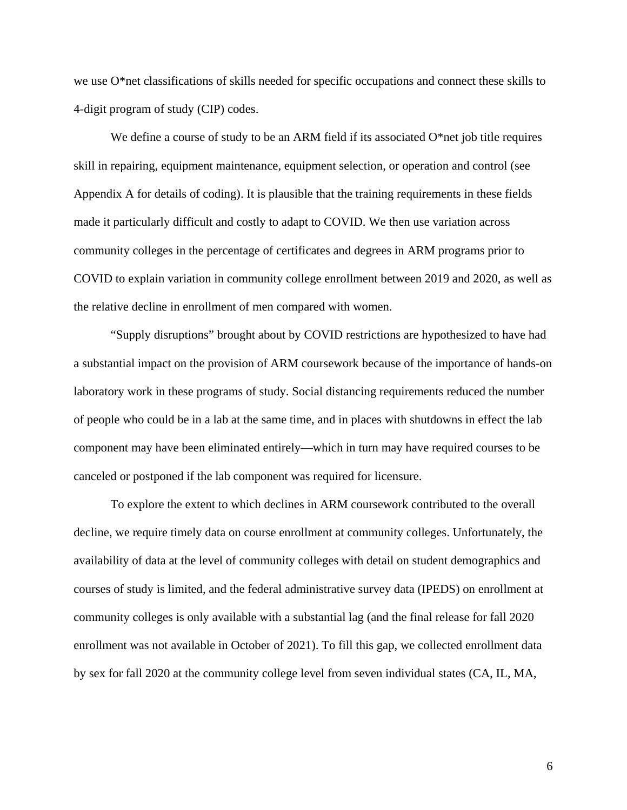we use O\*net classifications of skills needed for specific occupations and connect these skills to 4-digit program of study (CIP) codes.

We define a course of study to be an ARM field if its associated  $O^*$  net job title requires skill in repairing, equipment maintenance, equipment selection, or operation and control (see Appendix A for details of coding). It is plausible that the training requirements in these fields made it particularly difficult and costly to adapt to COVID. We then use variation across community colleges in the percentage of certificates and degrees in ARM programs prior to COVID to explain variation in community college enrollment between 2019 and 2020, as well as the relative decline in enrollment of men compared with women.

"Supply disruptions" brought about by COVID restrictions are hypothesized to have had a substantial impact on the provision of ARM coursework because of the importance of hands-on laboratory work in these programs of study. Social distancing requirements reduced the number of people who could be in a lab at the same time, and in places with shutdowns in effect the lab component may have been eliminated entirely—which in turn may have required courses to be canceled or postponed if the lab component was required for licensure.

To explore the extent to which declines in ARM coursework contributed to the overall decline, we require timely data on course enrollment at community colleges. Unfortunately, the availability of data at the level of community colleges with detail on student demographics and courses of study is limited, and the federal administrative survey data (IPEDS) on enrollment at community colleges is only available with a substantial lag (and the final release for fall 2020 enrollment was not available in October of 2021). To fill this gap, we collected enrollment data by sex for fall 2020 at the community college level from seven individual states (CA, IL, MA,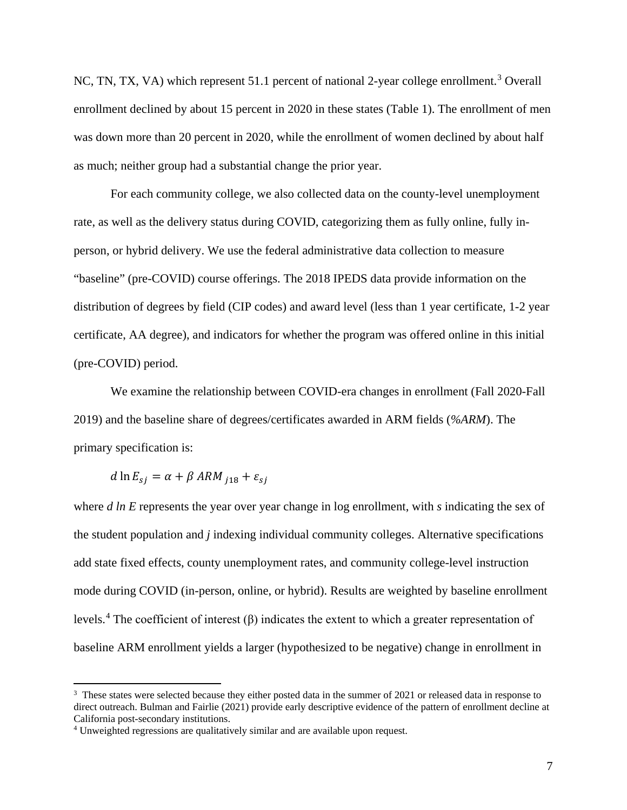NC, TN, TX, VA) which represent 51.1 percent of national 2-year college enrollment.<sup>[3](#page-8-0)</sup> Overall enrollment declined by about 15 percent in 2020 in these states (Table 1). The enrollment of men was down more than 20 percent in 2020, while the enrollment of women declined by about half as much; neither group had a substantial change the prior year.

For each community college, we also collected data on the county-level unemployment rate, as well as the delivery status during COVID, categorizing them as fully online, fully inperson, or hybrid delivery. We use the federal administrative data collection to measure "baseline" (pre-COVID) course offerings. The 2018 IPEDS data provide information on the distribution of degrees by field (CIP codes) and award level (less than 1 year certificate, 1-2 year certificate, AA degree), and indicators for whether the program was offered online in this initial (pre-COVID) period.

We examine the relationship between COVID-era changes in enrollment (Fall 2020-Fall 2019) and the baseline share of degrees/certificates awarded in ARM fields (*%ARM*). The primary specification is:

$$
d \ln E_{sj} = \alpha + \beta \text{ ARM}_{j18} + \varepsilon_{sj}
$$

 $\overline{a}$ 

where *d ln E* represents the year over year change in log enrollment, with *s* indicating the sex of the student population and *j* indexing individual community colleges. Alternative specifications add state fixed effects, county unemployment rates, and community college-level instruction mode during COVID (in-person, online, or hybrid). Results are weighted by baseline enrollment levels.<sup>[4](#page-8-1)</sup> The coefficient of interest ( $\beta$ ) indicates the extent to which a greater representation of baseline ARM enrollment yields a larger (hypothesized to be negative) change in enrollment in

<span id="page-8-0"></span><sup>&</sup>lt;sup>3</sup> These states were selected because they either posted data in the summer of 2021 or released data in response to direct outreach. Bulman and Fairlie (2021) provide early descriptive evidence of the pattern of enrollment decline at California post-secondary institutions. 4 Unweighted regressions are qualitatively similar and are available upon request.

<span id="page-8-1"></span>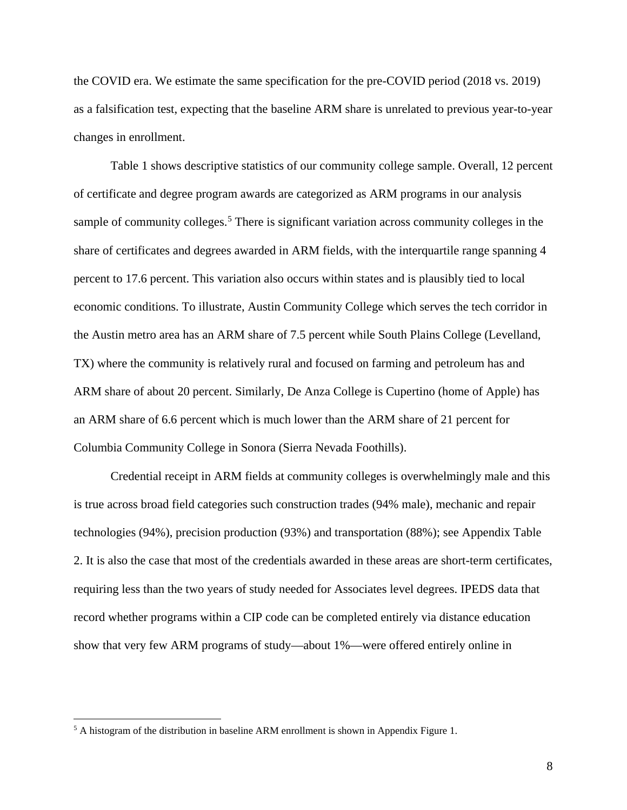the COVID era. We estimate the same specification for the pre-COVID period (2018 vs. 2019) as a falsification test, expecting that the baseline ARM share is unrelated to previous year-to-year changes in enrollment.

Table 1 shows descriptive statistics of our community college sample. Overall, 12 percent of certificate and degree program awards are categorized as ARM programs in our analysis sample of community colleges.<sup>[5](#page-9-0)</sup> There is significant variation across community colleges in the share of certificates and degrees awarded in ARM fields, with the interquartile range spanning 4 percent to 17.6 percent. This variation also occurs within states and is plausibly tied to local economic conditions. To illustrate, Austin Community College which serves the tech corridor in the Austin metro area has an ARM share of 7.5 percent while South Plains College (Levelland, TX) where the community is relatively rural and focused on farming and petroleum has and ARM share of about 20 percent. Similarly, De Anza College is Cupertino (home of Apple) has an ARM share of 6.6 percent which is much lower than the ARM share of 21 percent for Columbia Community College in Sonora (Sierra Nevada Foothills).

Credential receipt in ARM fields at community colleges is overwhelmingly male and this is true across broad field categories such construction trades (94% male), mechanic and repair technologies (94%), precision production (93%) and transportation (88%); see Appendix Table 2. It is also the case that most of the credentials awarded in these areas are short-term certificates, requiring less than the two years of study needed for Associates level degrees. IPEDS data that record whether programs within a CIP code can be completed entirely via distance education show that very few ARM programs of study—about 1%—were offered entirely online in

<span id="page-9-0"></span><sup>&</sup>lt;sup>5</sup> A histogram of the distribution in baseline ARM enrollment is shown in Appendix Figure 1.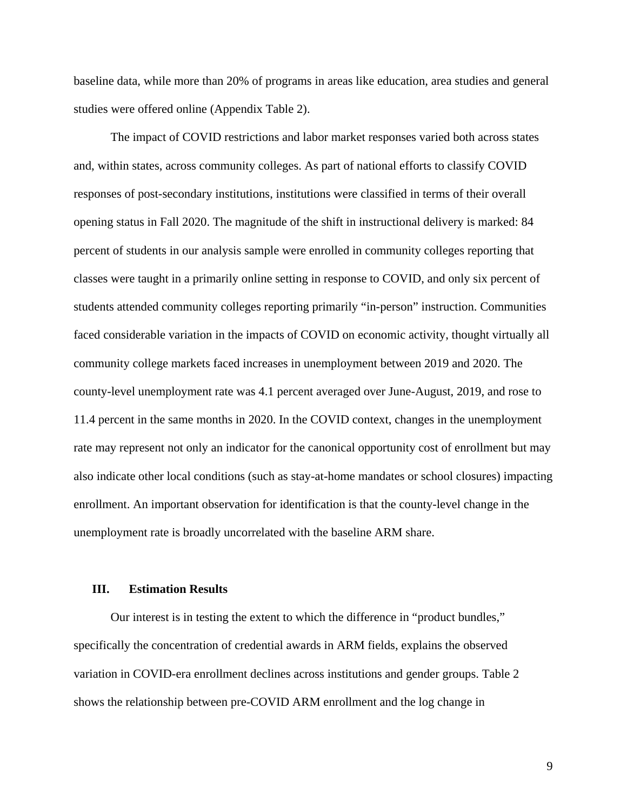baseline data, while more than 20% of programs in areas like education, area studies and general studies were offered online (Appendix Table 2).

 The impact of COVID restrictions and labor market responses varied both across states and, within states, across community colleges. As part of national efforts to classify COVID responses of post-secondary institutions, institutions were classified in terms of their overall opening status in Fall 2020. The magnitude of the shift in instructional delivery is marked: 84 percent of students in our analysis sample were enrolled in community colleges reporting that classes were taught in a primarily online setting in response to COVID, and only six percent of students attended community colleges reporting primarily "in-person" instruction. Communities faced considerable variation in the impacts of COVID on economic activity, thought virtually all community college markets faced increases in unemployment between 2019 and 2020. The county-level unemployment rate was 4.1 percent averaged over June-August, 2019, and rose to 11.4 percent in the same months in 2020. In the COVID context, changes in the unemployment rate may represent not only an indicator for the canonical opportunity cost of enrollment but may also indicate other local conditions (such as stay-at-home mandates or school closures) impacting enrollment. An important observation for identification is that the county-level change in the unemployment rate is broadly uncorrelated with the baseline ARM share.

#### **III. Estimation Results**

Our interest is in testing the extent to which the difference in "product bundles," specifically the concentration of credential awards in ARM fields, explains the observed variation in COVID-era enrollment declines across institutions and gender groups. Table 2 shows the relationship between pre-COVID ARM enrollment and the log change in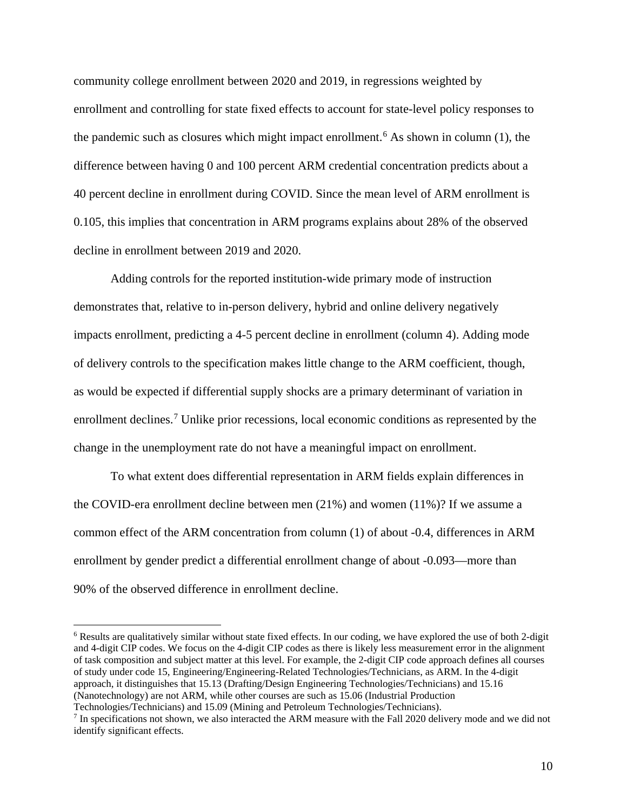community college enrollment between 2020 and 2019, in regressions weighted by enrollment and controlling for state fixed effects to account for state-level policy responses to the pandemic such as closures which might impact enrollment. [6](#page-11-0) As shown in column (1), the difference between having 0 and 100 percent ARM credential concentration predicts about a 40 percent decline in enrollment during COVID. Since the mean level of ARM enrollment is 0.105, this implies that concentration in ARM programs explains about 28% of the observed decline in enrollment between 2019 and 2020.

Adding controls for the reported institution-wide primary mode of instruction demonstrates that, relative to in-person delivery, hybrid and online delivery negatively impacts enrollment, predicting a 4-5 percent decline in enrollment (column 4). Adding mode of delivery controls to the specification makes little change to the ARM coefficient, though, as would be expected if differential supply shocks are a primary determinant of variation in enrollment declines.<sup>[7](#page-11-1)</sup> Unlike prior recessions, local economic conditions as represented by the change in the unemployment rate do not have a meaningful impact on enrollment.

 To what extent does differential representation in ARM fields explain differences in the COVID-era enrollment decline between men (21%) and women (11%)? If we assume a common effect of the ARM concentration from column (1) of about -0.4, differences in ARM enrollment by gender predict a differential enrollment change of about -0.093—more than 90% of the observed difference in enrollment decline.

<span id="page-11-0"></span><sup>6</sup> Results are qualitatively similar without state fixed effects. In our coding, we have explored the use of both 2-digit and 4-digit CIP codes. We focus on the 4-digit CIP codes as there is likely less measurement error in the alignment of task composition and subject matter at this level. For example, the 2-digit CIP code approach defines all courses of study under code 15, Engineering/Engineering-Related Technologies/Technicians, as ARM. In the 4-digit approach, it distinguishes that 15.13 (Drafting/Design Engineering Technologies/Technicians) and 15.16 (Nanotechnology) are not ARM, while other courses are such as 15.06 (Industrial Production

Technologies/Technicians) and 15.09 (Mining and Petroleum Technologies/Technicians).

<span id="page-11-1"></span><sup>7</sup> In specifications not shown, we also interacted the ARM measure with the Fall 2020 delivery mode and we did not identify significant effects.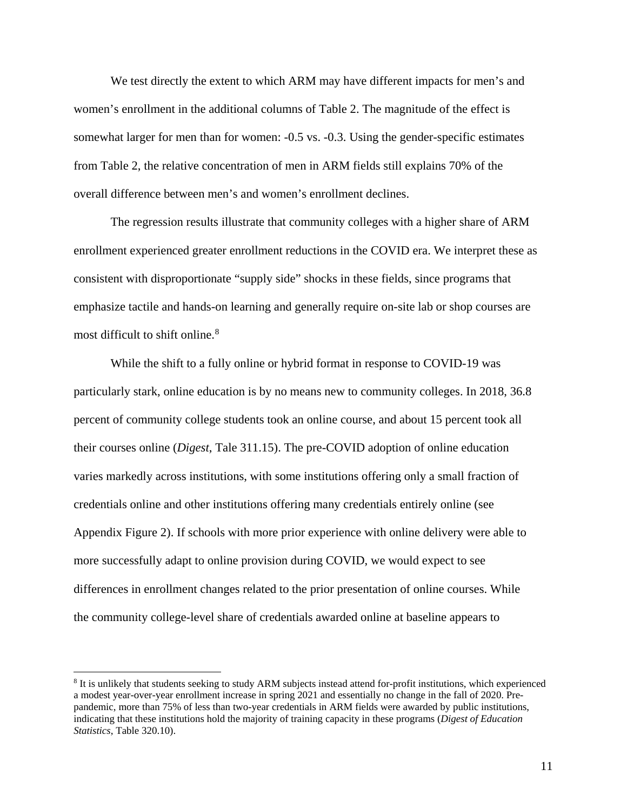We test directly the extent to which ARM may have different impacts for men's and women's enrollment in the additional columns of Table 2. The magnitude of the effect is somewhat larger for men than for women: -0.5 vs. -0.3. Using the gender-specific estimates from Table 2, the relative concentration of men in ARM fields still explains 70% of the overall difference between men's and women's enrollment declines.

The regression results illustrate that community colleges with a higher share of ARM enrollment experienced greater enrollment reductions in the COVID era. We interpret these as consistent with disproportionate "supply side" shocks in these fields, since programs that emphasize tactile and hands-on learning and generally require on-site lab or shop courses are most difficult to shift online. [8](#page-12-0)

While the shift to a fully online or hybrid format in response to COVID-19 was particularly stark, online education is by no means new to community colleges. In 2018, 36.8 percent of community college students took an online course, and about 15 percent took all their courses online (*Digest*, Tale 311.15). The pre-COVID adoption of online education varies markedly across institutions, with some institutions offering only a small fraction of credentials online and other institutions offering many credentials entirely online (see Appendix Figure 2). If schools with more prior experience with online delivery were able to more successfully adapt to online provision during COVID, we would expect to see differences in enrollment changes related to the prior presentation of online courses. While the community college-level share of credentials awarded online at baseline appears to

<span id="page-12-0"></span><sup>8</sup> It is unlikely that students seeking to study ARM subjects instead attend for-profit institutions, which experienced a modest year-over-year enrollment increase in spring 2021 and essentially no change in the fall of 2020. Prepandemic, more than 75% of less than two-year credentials in ARM fields were awarded by public institutions, indicating that these institutions hold the majority of training capacity in these programs (*Digest of Education Statistics*, Table 320.10).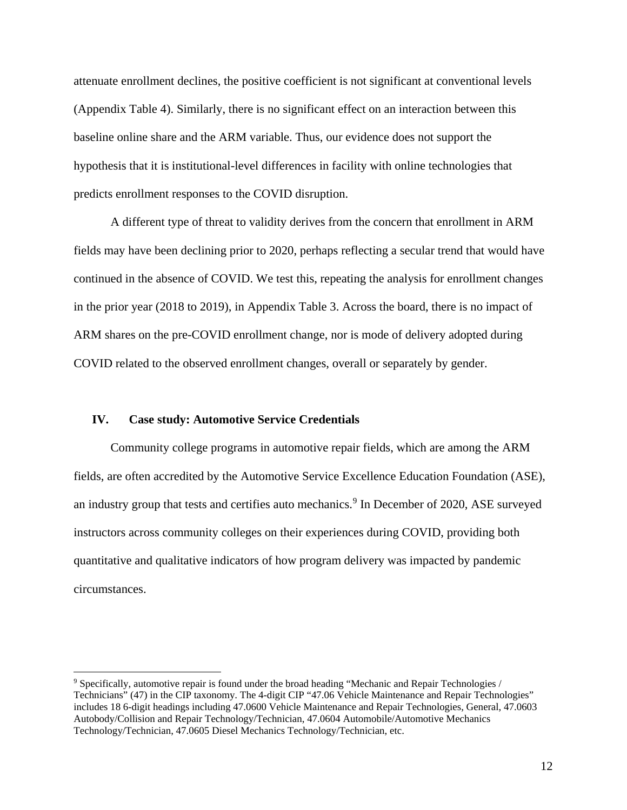attenuate enrollment declines, the positive coefficient is not significant at conventional levels (Appendix Table 4). Similarly, there is no significant effect on an interaction between this baseline online share and the ARM variable. Thus, our evidence does not support the hypothesis that it is institutional-level differences in facility with online technologies that predicts enrollment responses to the COVID disruption.

A different type of threat to validity derives from the concern that enrollment in ARM fields may have been declining prior to 2020, perhaps reflecting a secular trend that would have continued in the absence of COVID. We test this, repeating the analysis for enrollment changes in the prior year (2018 to 2019), in Appendix Table 3. Across the board, there is no impact of ARM shares on the pre-COVID enrollment change, nor is mode of delivery adopted during COVID related to the observed enrollment changes, overall or separately by gender.

#### **IV. Case study: Automotive Service Credentials**

 $\overline{a}$ 

Community college programs in automotive repair fields, which are among the ARM fields, are often accredited by the Automotive Service Excellence Education Foundation (ASE), an industry group that tests and certifies auto mechanics.<sup>[9](#page-13-0)</sup> In December of 2020, ASE surveyed instructors across community colleges on their experiences during COVID, providing both quantitative and qualitative indicators of how program delivery was impacted by pandemic circumstances.

<span id="page-13-0"></span><sup>9</sup> Specifically, automotive repair is found under the broad heading "Mechanic and Repair Technologies / Technicians" (47) in the CIP taxonomy. The 4-digit CIP "47.06 Vehicle Maintenance and Repair Technologies" includes 18 6-digit headings including 47.0600 Vehicle Maintenance and Repair Technologies, General, 47.0603 Autobody/Collision and Repair Technology/Technician, 47.0604 Automobile/Automotive Mechanics Technology/Technician, 47.0605 Diesel Mechanics Technology/Technician, etc.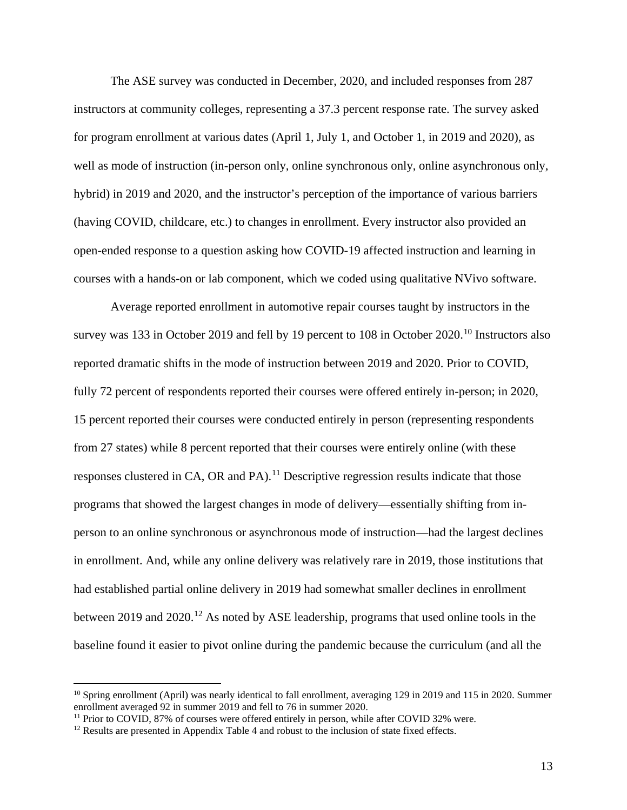The ASE survey was conducted in December, 2020, and included responses from 287 instructors at community colleges, representing a 37.3 percent response rate. The survey asked for program enrollment at various dates (April 1, July 1, and October 1, in 2019 and 2020), as well as mode of instruction (in-person only, online synchronous only, online asynchronous only, hybrid) in 2019 and 2020, and the instructor's perception of the importance of various barriers (having COVID, childcare, etc.) to changes in enrollment. Every instructor also provided an open-ended response to a question asking how COVID-19 affected instruction and learning in courses with a hands-on or lab component, which we coded using qualitative NVivo software.

Average reported enrollment in automotive repair courses taught by instructors in the survey was 133 in October 2019 and fell by 19 percent to [10](#page-14-0)8 in October 2020.<sup>10</sup> Instructors also reported dramatic shifts in the mode of instruction between 2019 and 2020. Prior to COVID, fully 72 percent of respondents reported their courses were offered entirely in-person; in 2020, 15 percent reported their courses were conducted entirely in person (representing respondents from 27 states) while 8 percent reported that their courses were entirely online (with these responses clustered in CA, OR and PA).<sup>[11](#page-14-1)</sup> Descriptive regression results indicate that those programs that showed the largest changes in mode of delivery—essentially shifting from inperson to an online synchronous or asynchronous mode of instruction—had the largest declines in enrollment. And, while any online delivery was relatively rare in 2019, those institutions that had established partial online delivery in 2019 had somewhat smaller declines in enrollment between 2019 and 2020.<sup>12</sup> As noted by ASE leadership, programs that used online tools in the baseline found it easier to pivot online during the pandemic because the curriculum (and all the

<span id="page-14-0"></span><sup>&</sup>lt;sup>10</sup> Spring enrollment (April) was nearly identical to fall enrollment, averaging 129 in 2019 and 115 in 2020. Summer enrollment averaged 92 in summer 2019 and fell to 76 in summer 2020.

<span id="page-14-1"></span><sup>&</sup>lt;sup>11</sup> Prior to COVID, 87% of courses were offered entirely in person, while after COVID 32% were.

<span id="page-14-2"></span><sup>&</sup>lt;sup>12</sup> Results are presented in Appendix Table 4 and robust to the inclusion of state fixed effects.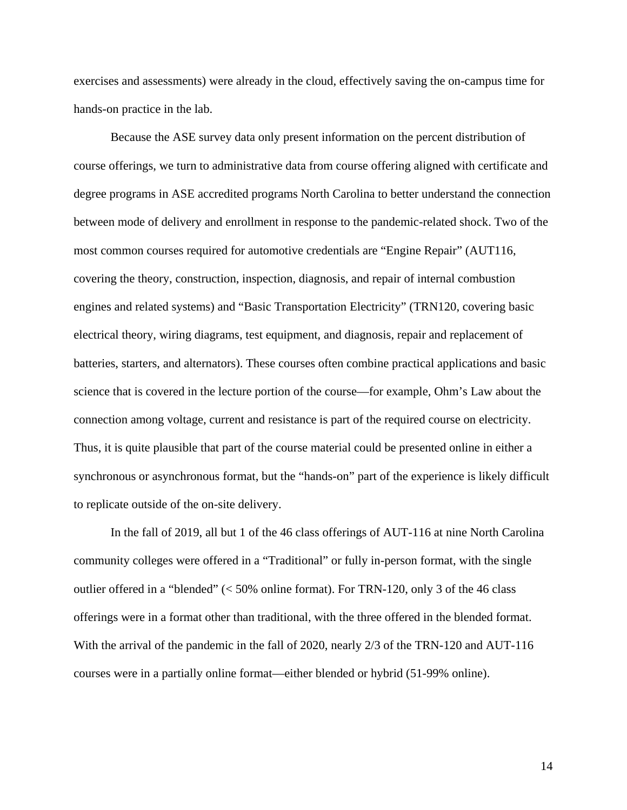exercises and assessments) were already in the cloud, effectively saving the on-campus time for hands-on practice in the lab.

Because the ASE survey data only present information on the percent distribution of course offerings, we turn to administrative data from course offering aligned with certificate and degree programs in ASE accredited programs North Carolina to better understand the connection between mode of delivery and enrollment in response to the pandemic-related shock. Two of the most common courses required for automotive credentials are "Engine Repair" (AUT116, covering the theory, construction, inspection, diagnosis, and repair of internal combustion engines and related systems) and "Basic Transportation Electricity" (TRN120, covering basic electrical theory, wiring diagrams, test equipment, and diagnosis, repair and replacement of batteries, starters, and alternators). These courses often combine practical applications and basic science that is covered in the lecture portion of the course—for example, Ohm's Law about the connection among voltage, current and resistance is part of the required course on electricity. Thus, it is quite plausible that part of the course material could be presented online in either a synchronous or asynchronous format, but the "hands-on" part of the experience is likely difficult to replicate outside of the on-site delivery.

In the fall of 2019, all but 1 of the 46 class offerings of AUT-116 at nine North Carolina community colleges were offered in a "Traditional" or fully in-person format, with the single outlier offered in a "blended" (< 50% online format). For TRN-120, only 3 of the 46 class offerings were in a format other than traditional, with the three offered in the blended format. With the arrival of the pandemic in the fall of 2020, nearly 2/3 of the TRN-120 and AUT-116 courses were in a partially online format—either blended or hybrid (51-99% online).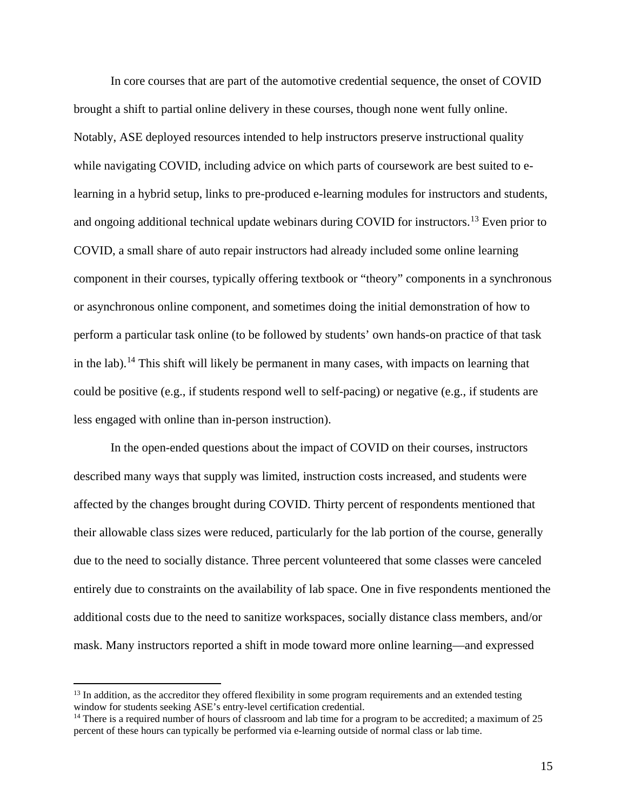In core courses that are part of the automotive credential sequence, the onset of COVID brought a shift to partial online delivery in these courses, though none went fully online. Notably, ASE deployed resources intended to help instructors preserve instructional quality while navigating COVID, including advice on which parts of coursework are best suited to elearning in a hybrid setup, links to pre-produced e-learning modules for instructors and students, and ongoing additional technical update webinars during COVID for instructors.<sup>[13](#page-16-0)</sup> Even prior to COVID, a small share of auto repair instructors had already included some online learning component in their courses, typically offering textbook or "theory" components in a synchronous or asynchronous online component, and sometimes doing the initial demonstration of how to perform a particular task online (to be followed by students' own hands-on practice of that task in the lab).<sup>[14](#page-16-1)</sup> This shift will likely be permanent in many cases, with impacts on learning that could be positive (e.g., if students respond well to self-pacing) or negative (e.g., if students are less engaged with online than in-person instruction).

In the open-ended questions about the impact of COVID on their courses, instructors described many ways that supply was limited, instruction costs increased, and students were affected by the changes brought during COVID. Thirty percent of respondents mentioned that their allowable class sizes were reduced, particularly for the lab portion of the course, generally due to the need to socially distance. Three percent volunteered that some classes were canceled entirely due to constraints on the availability of lab space. One in five respondents mentioned the additional costs due to the need to sanitize workspaces, socially distance class members, and/or mask. Many instructors reported a shift in mode toward more online learning—and expressed

<span id="page-16-0"></span><sup>&</sup>lt;sup>13</sup> In addition, as the accreditor they offered flexibility in some program requirements and an extended testing window for students seeking ASE's entry-level certification credential.

<span id="page-16-1"></span><sup>&</sup>lt;sup>14</sup> There is a required number of hours of classroom and lab time for a program to be accredited; a maximum of 25 percent of these hours can typically be performed via e-learning outside of normal class or lab time.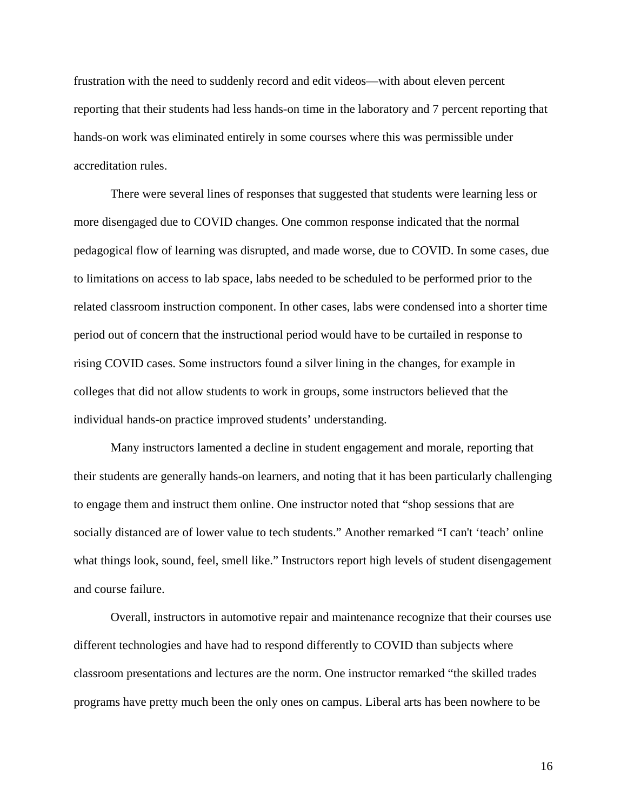frustration with the need to suddenly record and edit videos—with about eleven percent reporting that their students had less hands-on time in the laboratory and 7 percent reporting that hands-on work was eliminated entirely in some courses where this was permissible under accreditation rules.

There were several lines of responses that suggested that students were learning less or more disengaged due to COVID changes. One common response indicated that the normal pedagogical flow of learning was disrupted, and made worse, due to COVID. In some cases, due to limitations on access to lab space, labs needed to be scheduled to be performed prior to the related classroom instruction component. In other cases, labs were condensed into a shorter time period out of concern that the instructional period would have to be curtailed in response to rising COVID cases. Some instructors found a silver lining in the changes, for example in colleges that did not allow students to work in groups, some instructors believed that the individual hands-on practice improved students' understanding.

Many instructors lamented a decline in student engagement and morale, reporting that their students are generally hands-on learners, and noting that it has been particularly challenging to engage them and instruct them online. One instructor noted that "shop sessions that are socially distanced are of lower value to tech students." Another remarked "I can't 'teach' online what things look, sound, feel, smell like." Instructors report high levels of student disengagement and course failure.

Overall, instructors in automotive repair and maintenance recognize that their courses use different technologies and have had to respond differently to COVID than subjects where classroom presentations and lectures are the norm. One instructor remarked "the skilled trades programs have pretty much been the only ones on campus. Liberal arts has been nowhere to be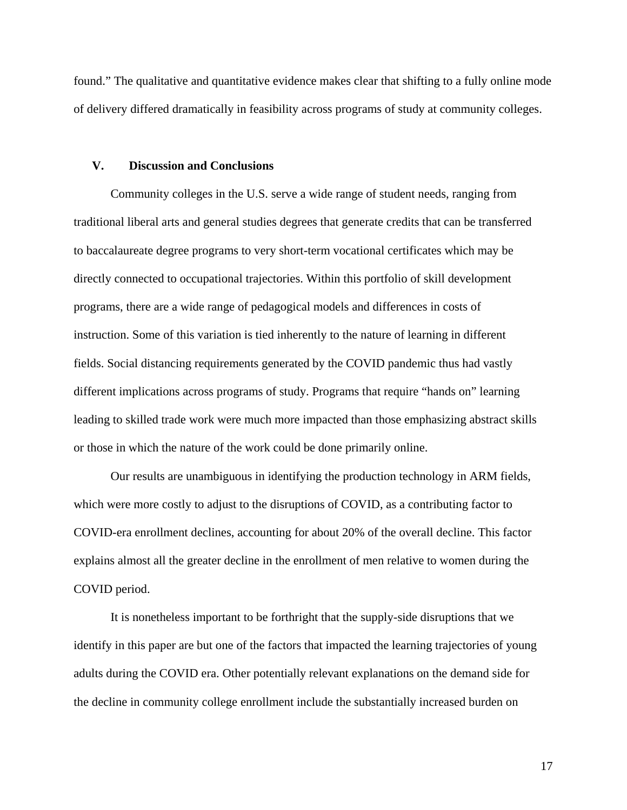found." The qualitative and quantitative evidence makes clear that shifting to a fully online mode of delivery differed dramatically in feasibility across programs of study at community colleges.

### **V. Discussion and Conclusions**

Community colleges in the U.S. serve a wide range of student needs, ranging from traditional liberal arts and general studies degrees that generate credits that can be transferred to baccalaureate degree programs to very short-term vocational certificates which may be directly connected to occupational trajectories. Within this portfolio of skill development programs, there are a wide range of pedagogical models and differences in costs of instruction. Some of this variation is tied inherently to the nature of learning in different fields. Social distancing requirements generated by the COVID pandemic thus had vastly different implications across programs of study. Programs that require "hands on" learning leading to skilled trade work were much more impacted than those emphasizing abstract skills or those in which the nature of the work could be done primarily online.

 Our results are unambiguous in identifying the production technology in ARM fields, which were more costly to adjust to the disruptions of COVID, as a contributing factor to COVID-era enrollment declines, accounting for about 20% of the overall decline. This factor explains almost all the greater decline in the enrollment of men relative to women during the COVID period.

It is nonetheless important to be forthright that the supply-side disruptions that we identify in this paper are but one of the factors that impacted the learning trajectories of young adults during the COVID era. Other potentially relevant explanations on the demand side for the decline in community college enrollment include the substantially increased burden on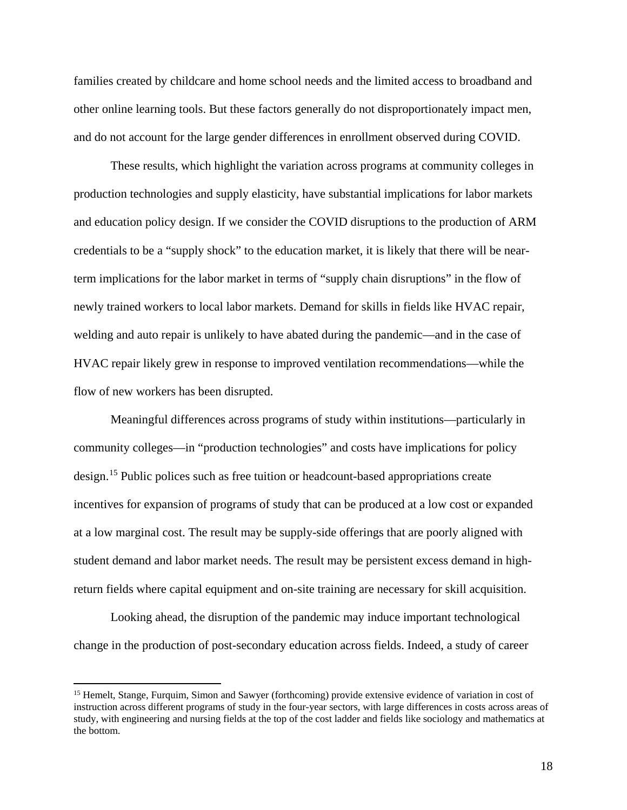families created by childcare and home school needs and the limited access to broadband and other online learning tools. But these factors generally do not disproportionately impact men, and do not account for the large gender differences in enrollment observed during COVID.

 These results, which highlight the variation across programs at community colleges in production technologies and supply elasticity, have substantial implications for labor markets and education policy design. If we consider the COVID disruptions to the production of ARM credentials to be a "supply shock" to the education market, it is likely that there will be nearterm implications for the labor market in terms of "supply chain disruptions" in the flow of newly trained workers to local labor markets. Demand for skills in fields like HVAC repair, welding and auto repair is unlikely to have abated during the pandemic—and in the case of HVAC repair likely grew in response to improved ventilation recommendations—while the flow of new workers has been disrupted.

Meaningful differences across programs of study within institutions—particularly in community colleges—in "production technologies" and costs have implications for policy design.[15](#page-19-0) Public polices such as free tuition or headcount-based appropriations create incentives for expansion of programs of study that can be produced at a low cost or expanded at a low marginal cost. The result may be supply-side offerings that are poorly aligned with student demand and labor market needs. The result may be persistent excess demand in highreturn fields where capital equipment and on-site training are necessary for skill acquisition.

 Looking ahead, the disruption of the pandemic may induce important technological change in the production of post-secondary education across fields. Indeed, a study of career

<span id="page-19-0"></span><sup>&</sup>lt;sup>15</sup> Hemelt, Stange, Furquim, Simon and Sawyer (forthcoming) provide extensive evidence of variation in cost of instruction across different programs of study in the four-year sectors, with large differences in costs across areas of study, with engineering and nursing fields at the top of the cost ladder and fields like sociology and mathematics at the bottom.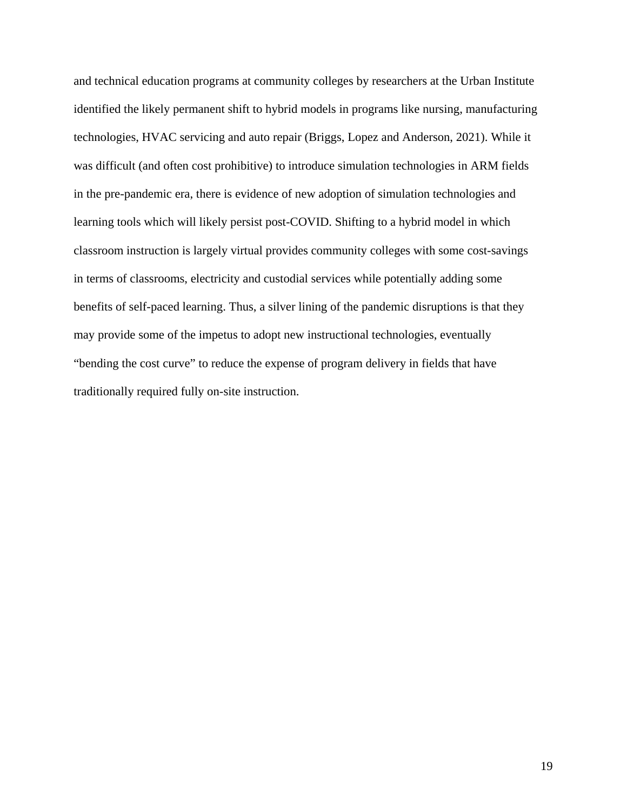and technical education programs at community colleges by researchers at the Urban Institute identified the likely permanent shift to hybrid models in programs like nursing, manufacturing technologies, HVAC servicing and auto repair (Briggs, Lopez and Anderson, 2021). While it was difficult (and often cost prohibitive) to introduce simulation technologies in ARM fields in the pre-pandemic era, there is evidence of new adoption of simulation technologies and learning tools which will likely persist post-COVID. Shifting to a hybrid model in which classroom instruction is largely virtual provides community colleges with some cost-savings in terms of classrooms, electricity and custodial services while potentially adding some benefits of self-paced learning. Thus, a silver lining of the pandemic disruptions is that they may provide some of the impetus to adopt new instructional technologies, eventually "bending the cost curve" to reduce the expense of program delivery in fields that have traditionally required fully on-site instruction.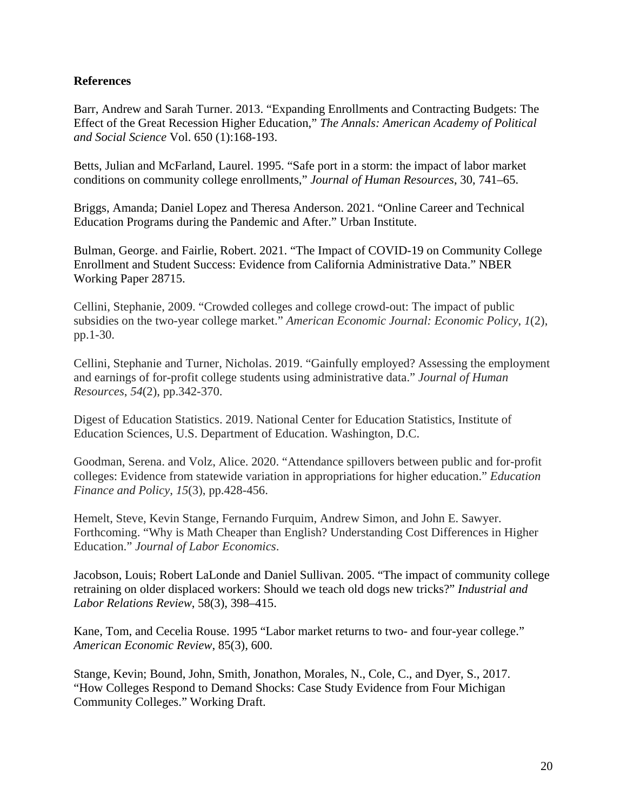# **References**

Barr, Andrew and Sarah Turner. 2013. "Expanding Enrollments and Contracting Budgets: The Effect of the Great Recession Higher Education," *The Annals: American Academy of Political and Social Science* Vol. 650 (1):168-193.

Betts, Julian and McFarland, Laurel. 1995. "Safe port in a storm: the impact of labor market conditions on community college enrollments," *Journal of Human Resources*, 30, 741–65.

Briggs, Amanda; Daniel Lopez and Theresa Anderson. 2021. "Online Career and Technical Education Programs during the Pandemic and After." Urban Institute.

Bulman, George. and Fairlie, Robert. 2021. "The Impact of COVID-19 on Community College Enrollment and Student Success: Evidence from California Administrative Data." NBER Working Paper 28715.

Cellini, Stephanie, 2009. "Crowded colleges and college crowd-out: The impact of public subsidies on the two-year college market." *American Economic Journal: Economic Policy*, *1*(2), pp.1-30.

Cellini, Stephanie and Turner, Nicholas. 2019. "Gainfully employed? Assessing the employment and earnings of for-profit college students using administrative data." *Journal of Human Resources*, *54*(2), pp.342-370.

Digest of Education Statistics. 2019. National Center for Education Statistics, Institute of Education Sciences, U.S. Department of Education. Washington, D.C.

Goodman, Serena. and Volz, Alice. 2020. "Attendance spillovers between public and for-profit colleges: Evidence from statewide variation in appropriations for higher education." *Education Finance and Policy*, *15*(3), pp.428-456.

Hemelt, Steve, Kevin Stange, Fernando Furquim, Andrew Simon, and John E. Sawyer. Forthcoming. "Why is Math Cheaper than English? Understanding Cost Differences in Higher Education." *Journal of Labor Economics*.

Jacobson, Louis; Robert LaLonde and Daniel Sullivan. 2005. "The impact of community college retraining on older displaced workers: Should we teach old dogs new tricks?" *Industrial and Labor Relations Review*, 58(3), 398–415.

Kane, Tom, and Cecelia Rouse. 1995 "Labor market returns to two- and four-year college." *American Economic Review*, 85(3), 600.

Stange, Kevin; Bound, John, Smith, Jonathon, Morales, N., Cole, C., and Dyer, S., 2017. "How Colleges Respond to Demand Shocks: Case Study Evidence from Four Michigan Community Colleges." Working Draft.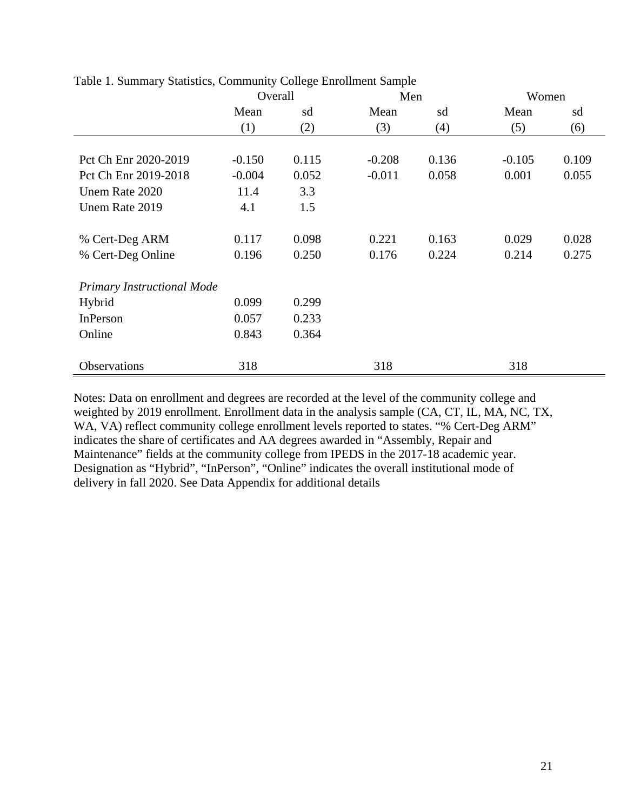|                                   | Overall  |       | Men      |       | Women    |       |
|-----------------------------------|----------|-------|----------|-------|----------|-------|
|                                   | Mean     | sd    | Mean     | sd    | Mean     | sd    |
|                                   | (1)      | (2)   | (3)      | (4)   | (5)      | (6)   |
|                                   |          |       |          |       |          |       |
| Pct Ch Enr 2020-2019              | $-0.150$ | 0.115 | $-0.208$ | 0.136 | $-0.105$ | 0.109 |
| Pct Ch Enr 2019-2018              | $-0.004$ | 0.052 | $-0.011$ | 0.058 | 0.001    | 0.055 |
| Unem Rate 2020                    | 11.4     | 3.3   |          |       |          |       |
| Unem Rate 2019                    | 4.1      | 1.5   |          |       |          |       |
|                                   |          |       |          |       |          |       |
| % Cert-Deg ARM                    | 0.117    | 0.098 | 0.221    | 0.163 | 0.029    | 0.028 |
| % Cert-Deg Online                 | 0.196    | 0.250 | 0.176    | 0.224 | 0.214    | 0.275 |
|                                   |          |       |          |       |          |       |
| <b>Primary Instructional Mode</b> |          |       |          |       |          |       |
| Hybrid                            | 0.099    | 0.299 |          |       |          |       |
| InPerson                          | 0.057    | 0.233 |          |       |          |       |
| Online                            | 0.843    | 0.364 |          |       |          |       |
|                                   |          |       |          |       |          |       |
| Observations                      | 318      |       | 318      |       | 318      |       |

Table 1. Summary Statistics, Community College Enrollment Sample

Notes: Data on enrollment and degrees are recorded at the level of the community college and weighted by 2019 enrollment. Enrollment data in the analysis sample (CA, CT, IL, MA, NC, TX, WA, VA) reflect community college enrollment levels reported to states. "% Cert-Deg ARM" indicates the share of certificates and AA degrees awarded in "Assembly, Repair and Maintenance" fields at the community college from IPEDS in the 2017-18 academic year. Designation as "Hybrid", "InPerson", "Online" indicates the overall institutional mode of delivery in fall 2020. See Data Appendix for additional details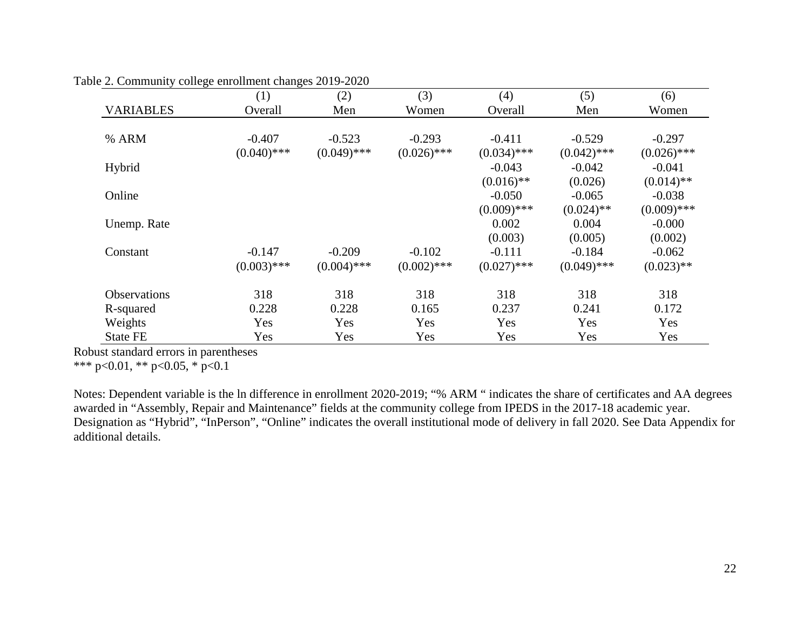|                     | (1)           | (2)           | (3)           | (4)           | (5)           | (6)           |
|---------------------|---------------|---------------|---------------|---------------|---------------|---------------|
| <b>VARIABLES</b>    | Overall       | Men           | Women         | Overall       | Men           | Women         |
|                     |               |               |               |               |               |               |
| % ARM               | $-0.407$      | $-0.523$      | $-0.293$      | $-0.411$      | $-0.529$      | $-0.297$      |
|                     | $(0.040)$ *** | $(0.049)$ *** | $(0.026)$ *** | $(0.034)$ *** | $(0.042)$ *** | $(0.026)$ *** |
| Hybrid              |               |               |               | $-0.043$      | $-0.042$      | $-0.041$      |
|                     |               |               |               | $(0.016)$ **  | (0.026)       | $(0.014)$ **  |
| Online              |               |               |               | $-0.050$      | $-0.065$      | $-0.038$      |
|                     |               |               |               | $(0.009)$ *** | $(0.024)$ **  | $(0.009)$ *** |
| Unemp. Rate         |               |               |               | 0.002         | 0.004         | $-0.000$      |
|                     |               |               |               | (0.003)       | (0.005)       | (0.002)       |
| Constant            | $-0.147$      | $-0.209$      | $-0.102$      | $-0.111$      | $-0.184$      | $-0.062$      |
|                     | $(0.003)$ *** | $(0.004)$ *** | $(0.002)$ *** | $(0.027)$ *** | $(0.049)$ *** | $(0.023)$ **  |
| <b>Observations</b> | 318           | 318           | 318           | 318           | 318           | 318           |
| R-squared           | 0.228         | 0.228         | 0.165         | 0.237         | 0.241         | 0.172         |
| Weights             | Yes           | Yes           | Yes           | Yes           | Yes           | Yes           |
| <b>State FE</b>     | Yes           | Yes           | Yes           | Yes           | Yes           | Yes           |

Table 2. Community college enrollment changes 2019-2020

Robust standard errors in parentheses

\*\*\* p<0.01, \*\* p<0.05, \* p<0.1

Notes: Dependent variable is the ln difference in enrollment 2020-2019; "% ARM " indicates the share of certificates and AA degrees awarded in "Assembly, Repair and Maintenance" fields at the community college from IPEDS in the 2017-18 academic year. Designation as "Hybrid", "InPerson", "Online" indicates the overall institutional mode of delivery in fall 2020. See Data Appendix for additional details.